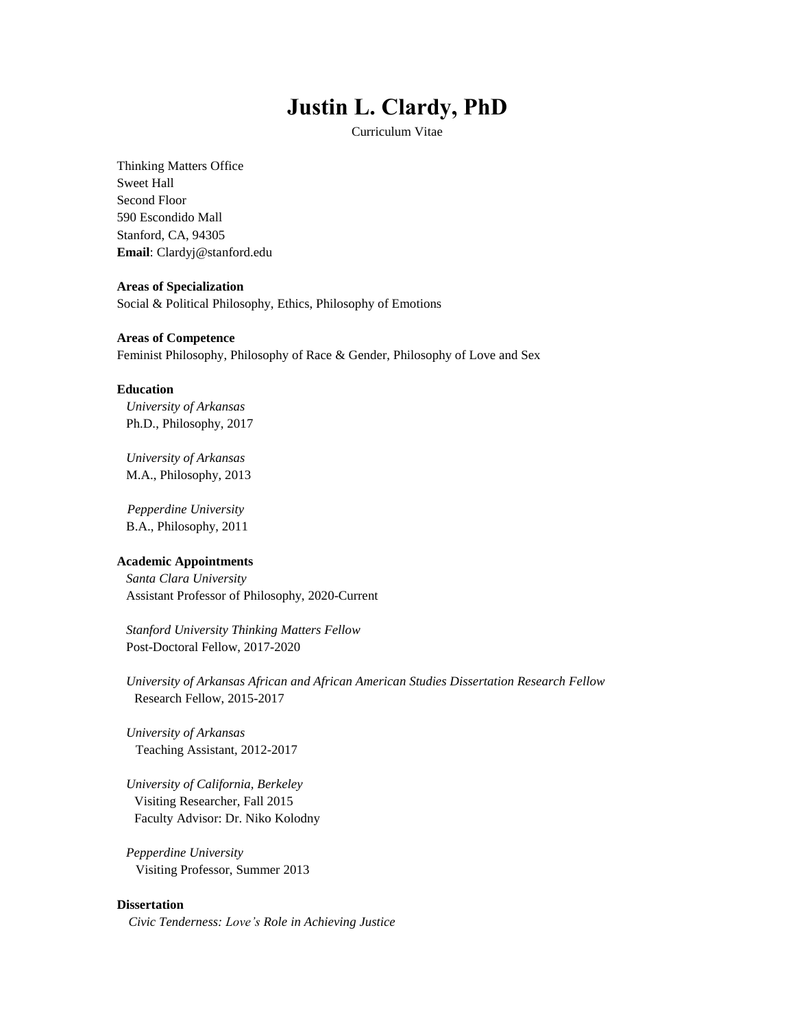# **Justin L. Clardy, PhD**

Curriculum Vitae

Thinking Matters Office Sweet Hall Second Floor 590 Escondido Mall Stanford, CA, 94305 **Email**: Clardyj@stanford.edu

#### **Areas of Specialization**

Social & Political Philosophy, Ethics, Philosophy of Emotions

#### **Areas of Competence**

Feminist Philosophy, Philosophy of Race & Gender, Philosophy of Love and Sex

#### **Education**

*University of Arkansas* Ph.D., Philosophy, 2017

*University of Arkansas* M.A., Philosophy, 2013

*Pepperdine University* B.A., Philosophy, 2011

#### **Academic Appointments**

*Santa Clara University* Assistant Professor of Philosophy, 2020-Current

*Stanford University Thinking Matters Fellow* Post-Doctoral Fellow, 2017-2020

*University of Arkansas African and African American Studies Dissertation Research Fellow* Research Fellow, 2015-2017

*University of Arkansas* Teaching Assistant, 2012-2017

*University of California, Berkeley* Visiting Researcher, Fall 2015 Faculty Advisor: Dr. Niko Kolodny

*Pepperdine University* Visiting Professor, Summer 2013

# **Dissertation**

*Civic Tenderness: Love's Role in Achieving Justice*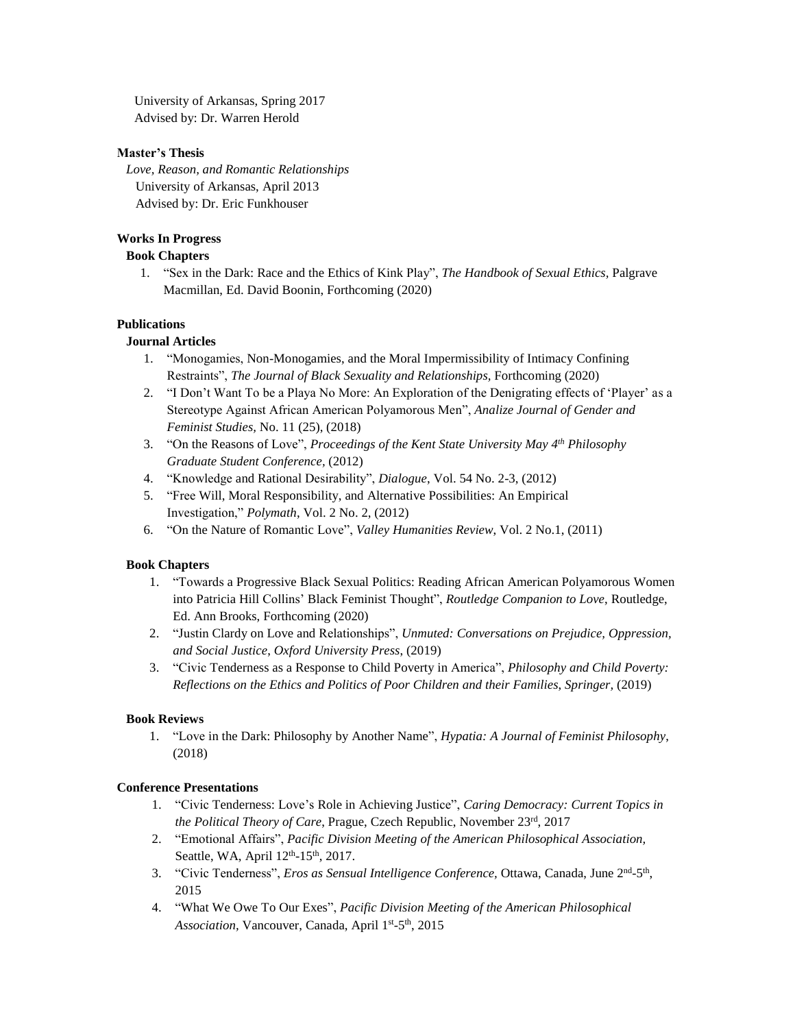University of Arkansas, Spring 2017 Advised by: Dr. Warren Herold

# **Master's Thesis**

*Love, Reason, and Romantic Relationships* University of Arkansas, April 2013 Advised by: Dr. Eric Funkhouser

# **Works In Progress**

# **Book Chapters**

1. "Sex in the Dark: Race and the Ethics of Kink Play", *The Handbook of Sexual Ethics,* Palgrave Macmillan, Ed. David Boonin, Forthcoming (2020)

# **Publications**

# **Journal Articles**

- 1. "Monogamies, Non-Monogamies, and the Moral Impermissibility of Intimacy Confining Restraints", *The Journal of Black Sexuality and Relationships,* Forthcoming (2020)
- 2. "I Don't Want To be a Playa No More: An Exploration of the Denigrating effects of 'Player' as a Stereotype Against African American Polyamorous Men", *Analize Journal of Gender and Feminist Studies,* No. 11 (25), (2018)
- 3. "On the Reasons of Love", *Proceedings of the Kent State University May 4 th Philosophy Graduate Student Conference,* (2012)
- 4. "Knowledge and Rational Desirability", *Dialogue*, Vol. 54 No. 2-3, (2012)
- 5. "Free Will, Moral Responsibility, and Alternative Possibilities: An Empirical Investigation," *Polymath*, Vol. 2 No. 2, (2012)
- 6. "On the Nature of Romantic Love", *Valley Humanities Review*, Vol. 2 No.1, (2011)

# **Book Chapters**

- 1. "Towards a Progressive Black Sexual Politics: Reading African American Polyamorous Women into Patricia Hill Collins' Black Feminist Thought", *Routledge Companion to Love*, Routledge, Ed. Ann Brooks, Forthcoming (2020)
- 2. "Justin Clardy on Love and Relationships", *Unmuted: Conversations on Prejudice, Oppression, and Social Justice*, *Oxford University Press*, (2019)
- 3. "Civic Tenderness as a Response to Child Poverty in America", *Philosophy and Child Poverty: Reflections on the Ethics and Politics of Poor Children and their Families*, *Springer,* (2019)

#### **Book Reviews**

1. "Love in the Dark: Philosophy by Another Name", *Hypatia: A Journal of Feminist Philosophy*, (2018)

# **Conference Presentations**

- 1. "Civic Tenderness: Love's Role in Achieving Justice", *Caring Democracy: Current Topics in the Political Theory of Care*, Prague, Czech Republic, November 23rd , 2017
- 2. "Emotional Affairs", *Pacific Division Meeting of the American Philosophical Association,* Seattle, WA, April 12<sup>th</sup>-15<sup>th</sup>, 2017.
- 3. "Civic Tenderness", *Eros as Sensual Intelligence Conference*, Ottawa, Canada, June 2<sup>nd</sup>-5<sup>th</sup>, 2015
- 4. "What We Owe To Our Exes", *Pacific Division Meeting of the American Philosophical* Association, Vancouver, Canada, April 1<sup>st</sup>-5<sup>th</sup>, 2015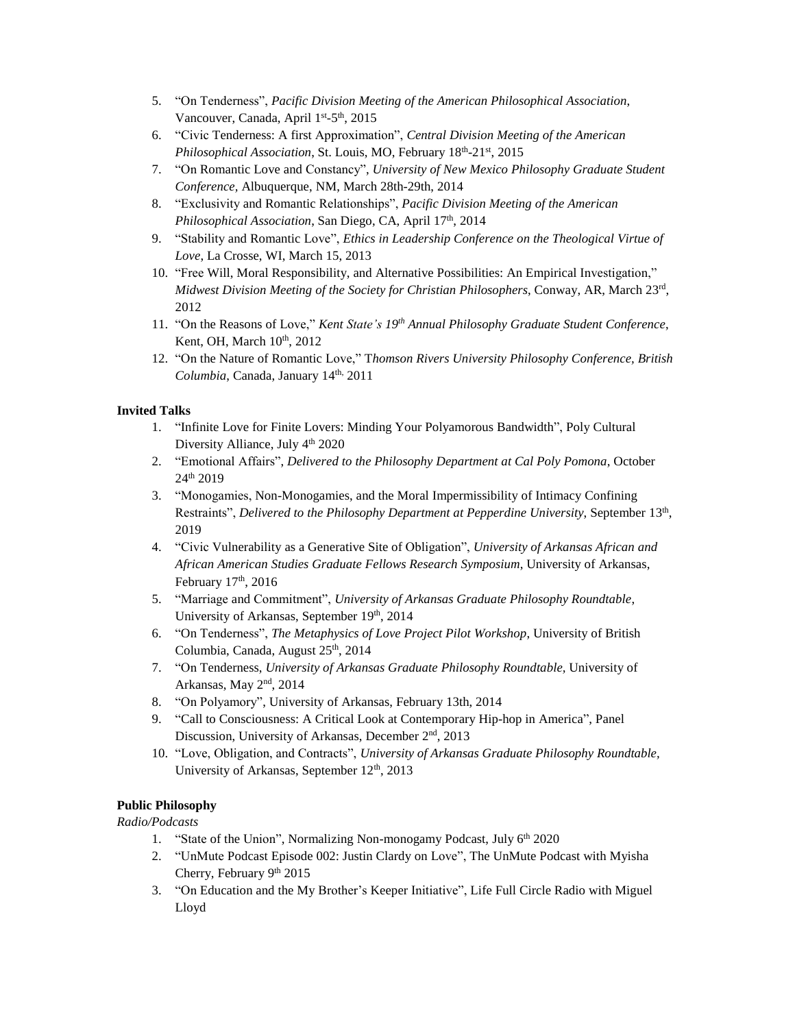- 5. "On Tenderness", *Pacific Division Meeting of the American Philosophical Association*, Vancouver, Canada, April 1<sup>st</sup>-5<sup>th</sup>, 2015
- 6. "Civic Tenderness: A first Approximation", *Central Division Meeting of the American* Philosophical Association, St. Louis, MO, February 18<sup>th</sup>-21<sup>st</sup>, 2015
- 7. "On Romantic Love and Constancy", *University of New Mexico Philosophy Graduate Student Conference,* Albuquerque, NM, March 28th-29th, 2014
- 8. "Exclusivity and Romantic Relationships", *Pacific Division Meeting of the American* Philosophical Association, San Diego, CA, April 17<sup>th</sup>, 2014
- 9. "Stability and Romantic Love", *Ethics in Leadership Conference on the Theological Virtue of Love*, La Crosse, WI, March 15, 2013
- 10. "Free Will, Moral Responsibility, and Alternative Possibilities: An Empirical Investigation," *Midwest Division Meeting of the Society for Christian Philosophers*, Conway, AR, March 23rd , 2012
- 11. "On the Reasons of Love," *Kent State's 19th Annual Philosophy Graduate Student Conference*, Kent, OH, March  $10<sup>th</sup>$ , 2012
- 12. "On the Nature of Romantic Love," T*homson Rivers University Philosophy Conference, British Columbia*, Canada, January 14<sup>th,</sup> 2011

# **Invited Talks**

- 1. "Infinite Love for Finite Lovers: Minding Your Polyamorous Bandwidth", Poly Cultural Diversity Alliance, July 4<sup>th</sup> 2020
- 2. "Emotional Affairs", *Delivered to the Philosophy Department at Cal Poly Pomona*, October 24th 2019
- 3. "Monogamies, Non-Monogamies, and the Moral Impermissibility of Intimacy Confining Restraints", *Delivered to the Philosophy Department at Pepperdine University*, September 13th , 2019
- 4. "Civic Vulnerability as a Generative Site of Obligation", *University of Arkansas African and African American Studies Graduate Fellows Research Symposium*, University of Arkansas, February 17<sup>th</sup>, 2016
- 5. "Marriage and Commitment", *University of Arkansas Graduate Philosophy Roundtable*, University of Arkansas, September 19th, 2014
- 6. "On Tenderness", *The Metaphysics of Love Project Pilot Workshop*, University of British Columbia, Canada, August 25<sup>th</sup>, 2014
- 7. "On Tenderness, *University of Arkansas Graduate Philosophy Roundtable,* University of Arkansas, May 2<sup>nd</sup>, 2014
- 8. "On Polyamory", University of Arkansas, February 13th, 2014
- 9. "Call to Consciousness: A Critical Look at Contemporary Hip-hop in America", Panel Discussion, University of Arkansas, December 2<sup>nd</sup>, 2013
- 10. "Love, Obligation, and Contracts", *University of Arkansas Graduate Philosophy Roundtable,* University of Arkansas, September 12<sup>th</sup>, 2013

# **Public Philosophy**

*Radio/Podcasts*

- 1. "State of the Union", Normalizing Non-monogamy Podcast, July 6<sup>th</sup> 2020
- 2. "UnMute Podcast Episode 002: Justin Clardy on Love", The UnMute Podcast with Myisha Cherry, February 9th 2015
- 3. "On Education and the My Brother's Keeper Initiative", Life Full Circle Radio with Miguel Lloyd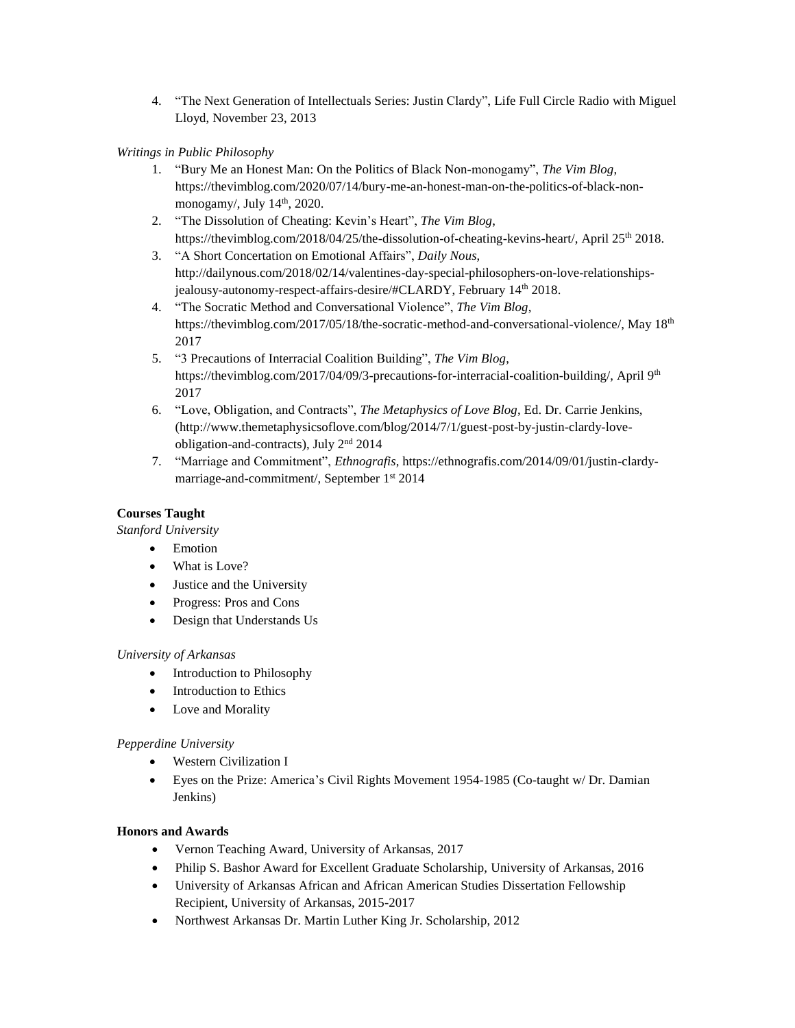4. "The Next Generation of Intellectuals Series: Justin Clardy", Life Full Circle Radio with Miguel Lloyd, November 23, 2013

# *Writings in Public Philosophy*

- 1. "Bury Me an Honest Man: On the Politics of Black Non-monogamy", *The Vim Blog*, https://thevimblog.com/2020/07/14/bury-me-an-honest-man-on-the-politics-of-black-nonmonogamy/, July 14<sup>th</sup>, 2020.
- 2. "The Dissolution of Cheating: Kevin's Heart", *The Vim Blog*, https://thevimblog.com/2018/04/25/the-dissolution-of-cheating-kevins-heart/, April 25<sup>th</sup> 2018.
- 3. "A Short Concertation on Emotional Affairs", *Daily Nous*, http://dailynous.com/2018/02/14/valentines-day-special-philosophers-on-love-relationshipsjealousy-autonomy-respect-affairs-desire/#CLARDY, February 14th 2018.
- 4. "The Socratic Method and Conversational Violence", *The Vim Blog*, https://thevimblog.com/2017/05/18/the-socratic-method-and-conversational-violence/, May 18<sup>th</sup> 2017
- 5. "3 Precautions of Interracial Coalition Building", *The Vim Blog*, https://thevimblog.com/2017/04/09/3-precautions-for-interracial-coalition-building/, April 9<sup>th</sup> 2017
- 6. "Love, Obligation, and Contracts", *The Metaphysics of Love Blog*, Ed. Dr. Carrie Jenkins, (http://www.themetaphysicsoflove.com/blog/2014/7/1/guest-post-by-justin-clardy-loveobligation-and-contracts), July 2nd 2014
- 7. "Marriage and Commitment", *Ethnografis*, https://ethnografis.com/2014/09/01/justin-clardymarriage-and-commitment/, September 1 st 2014

# **Courses Taught**

*Stanford University*

- Emotion
- What is Love?
- Justice and the University
- Progress: Pros and Cons
- Design that Understands Us

# *University of Arkansas*

- Introduction to Philosophy
- Introduction to Ethics
- Love and Morality

# *Pepperdine University*

- Western Civilization I
- Eyes on the Prize: America's Civil Rights Movement 1954-1985 (Co-taught w/ Dr. Damian Jenkins)

# **Honors and Awards**

- Vernon Teaching Award, University of Arkansas, 2017
- Philip S. Bashor Award for Excellent Graduate Scholarship, University of Arkansas, 2016
- University of Arkansas African and African American Studies Dissertation Fellowship Recipient, University of Arkansas, 2015-2017
- Northwest Arkansas Dr. Martin Luther King Jr. Scholarship, 2012